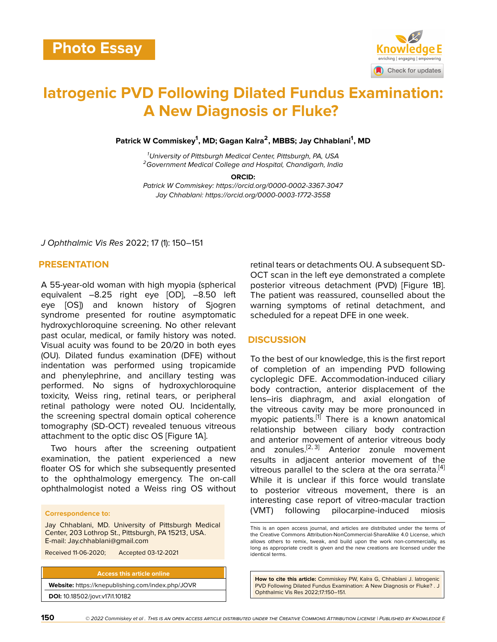

# **Iatrogenic PVD Following Dilated Fundus Examination: A New Diagnosis or Fluke?**

**Patrick W Commiskey<sup>1</sup> , MD; Gagan Kalra<sup>2</sup> , MBBS; Jay Chhablani<sup>1</sup> , MD**

*<sup>1</sup>University of Pittsburgh Medical Center, Pittsburgh, PA, USA <sup>2</sup>Government Medical College and Hospital, Chandigarh, India*

**ORCID:**

*Patrick W Commiskey: https://orcid.org/0000-0002-3367-3047 Jay Chhablani: https://orcid.org/0000-0003-1772-3558*

*J Ophthalmic Vis Res* 2022; 17 (1): 150–151

# **PRESENTATION**

A 55-year-old woman with high myopia (spherical equivalent –8.25 right eye [OD], –8.50 left eye [OS]) and known history of Sjogren syndrome presented for routine asymptomatic hydroxychloroquine screening. No other relevant past ocular, medical, or family history was noted. Visual acuity was found to be 20/20 in both eyes (OU). Dilated fundus examination (DFE) without indentation was performed using tropicamide and phenylephrine, and ancillary testing was performed. No signs of hydroxychloroquine toxicity, Weiss ring, retinal tears, or peripheral retinal pathology were noted OU. Incidentally, the screening spectral domain optical coherence tomography (SD-OCT) revealed tenuous vitreous attachment to the optic disc OS [Figure 1A].

Two hours after the screening outpatient examination, the patient experienced a new floater OS for which she subsequently presented to the ophthalmology emergency. The on-call ophthalmologist noted a Weiss ring OS without

#### **Correspondence to:**

Jay Chhablani, MD. University of Pittsburgh Medical Center, 203 Lothrop St., Pittsburgh, PA 15213, USA. E-mail: Jay.chhablani@gmail.com

Received 11-06-2020; Accepted 03-12-2021

**Access this article online Website:** <https://knepublishing.com/index.php/JOVR> **DOI:** 10.18502/jovr.v17i1.10182

retinal tears or detachments OU. A subsequent SD-OCT scan in the left eye demonstrated a complete posterior vitreous detachment (PVD) [Figure 1B]. The patient was reassured, counselled about the warning symptoms of retinal detachment, and scheduled for a repeat DFE in one week.

#### **DISCUSSION**

To the best of our knowledge, this is the first report of completion of an impending PVD following cycloplegic DFE. Accommodation-induced ciliary body contraction, anterior displacement of the lens–iris diaphragm, and axial elongation of the vitreous cavity may be more pronounced in myopic patients.<sup>[\[1\]](#page-1-0)</sup> There is a known anatomical relationship between ciliary body contraction and anterior movement of anterior vitreous body and zonules. $[2, 3]$  $[2, 3]$  $[2, 3]$  Anterior zonule movement results in adjacent anterior movement of the vitreous parallel to the sclera at the ora serrata.  $[4]$  $[4]$ While it is unclear if this force would translate to posterior vitreous movement, there is an interesting case report of vitreo-macular traction (VMT) following pilocarpine-induced miosis

**How to cite this article:** Commiskey PW, Kalra G, Chhablani J. Iatrogenic PVD Following Dilated Fundus Examination: A New Diagnosis or Fluke? . J Ophthalmic Vis Res 2022;17:150–151.

This is an open access journal, and articles are distributed under the terms of the Creative Commons Attribution-NonCommercial-ShareAlike 4.0 License, which allows others to remix, tweak, and build upon the work non-commercially, as long as appropriate credit is given and the new creations are licensed under the identical terms.